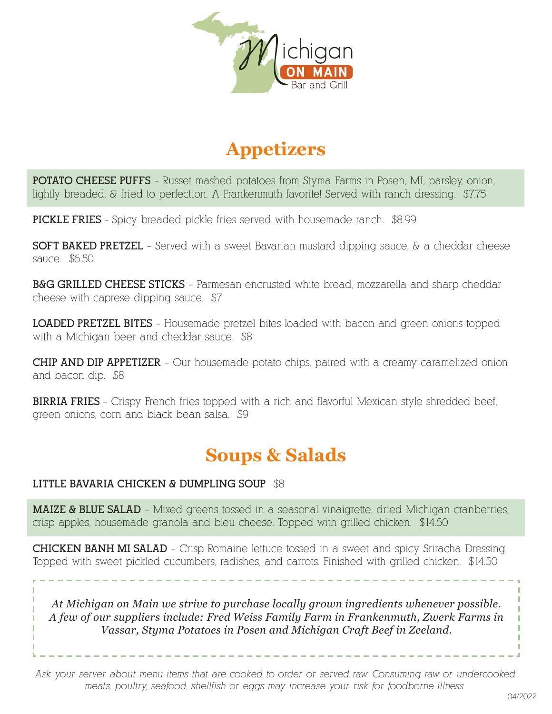

# **Appetizers**

**POTATO CHEESE PUFFS** – Russet mashed potatoes from Styma Farms in Posen, MI, parsley, onion, lightly breaded, & fried to perfection. A Frankenmuth favorite! Served with ranch dressing. \$7.75

**PICKLE FRIES** – Spicy breaded pickle fries served with housemade ranch. \$8.99

**SOFT BAKED PRETZEL** – Served with a sweet Bavarian mustard dipping sauce, & a cheddar cheese sauce. \$6.50

**B&G GRILLED CHEESE STICKS** – Parmesan-encrusted white bread, mozzarella and sharp cheddar cheese with caprese dipping sauce. \$7

**LOADED PRETZEL BITES** – Housemade pretzel bites loaded with bacon and green onions topped with a Michigan beer and cheddar sauce. \$8

**CHIP AND DIP APPETIZER** - Our housemade potato chips, paired with a creamy caramelized onion and bacon dip. \$8

**BIRRIA FRIES** – Crispy French fries topped with a rich and flavorful Mexican style shredded beef, green onions, corn and black bean salsa. \$9

## **Soups & Salads**

#### **LITTLE BAVARIA CHICKEN & DUMPLING SOUP** \$8

**MAIZE & BLUE SALAD** - Mixed greens tossed in a seasonal vinaigrette, dried Michigan cranberries, crisp apples, housemade granola and bleu cheese. Topped with grilled chicken. \$14.50

**CHICKEN BANH MI SALAD** – Crisp Romaine lettuce tossed in a sweet and spicy Sriracha Dressing. Topped with sweet pickled cucumbers, radishes, and carrots. Finished with grilled chicken. \$14.50

*At Michigan on Main we strive to purchase locally grown ingredients whenever possible. A few of our suppliers include: Fred Weiss Family Farm in Frankenmuth, Zwerk Farms in Vassar, Styma Potatoes in Posen and Michigan Craft Beef in Zeeland.*

*Ask your server about menu items that are cooked to order or served raw. Consuming raw or undercooked meats, poultry, seafood, shellfish or eggs may increase your risk for foodborne illness.*